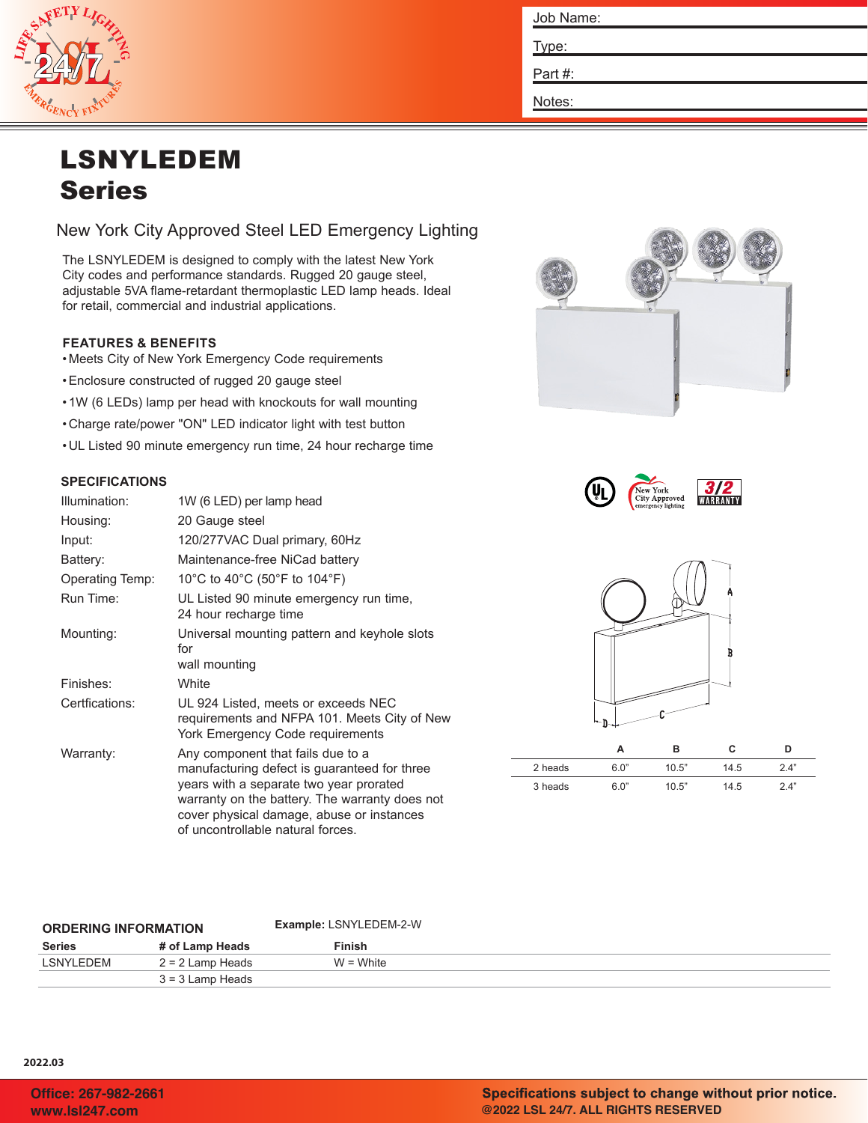

| Job Name: |
|-----------|
| Type:     |
| Part #:   |
| Notes:    |

# LSNYLEDEM Series

New York City Approved Steel LED Emergency Lighting

The LSNYLEDEM is designed to comply with the latest New York City codes and performance standards. Rugged 20 gauge steel, adjustable 5VA flame-retardant thermoplastic LED lamp heads. Ideal for retail, commercial and industrial applications.

## **FEATURES & BENEFITS**

- Meets City of New York Emergency Code requirements
- •Enclosure constructed of rugged 20 gauge steel
- 1W (6 LEDs) lamp per head with knockouts for wall mounting
- Charge rate/power "ON" LED indicator light with test button
- UL Listed 90 minute emergency run time, 24 hour recharge time

## **SPECIFICATIONS**

| Illumination:          | 1W (6 LED) per lamp head                                                                                                                                                                                                                                         |
|------------------------|------------------------------------------------------------------------------------------------------------------------------------------------------------------------------------------------------------------------------------------------------------------|
| Housing:               | 20 Gauge steel                                                                                                                                                                                                                                                   |
| Input:                 | 120/277VAC Dual primary, 60Hz                                                                                                                                                                                                                                    |
| Battery:               | Maintenance-free NiCad battery                                                                                                                                                                                                                                   |
| <b>Operating Temp:</b> | 10°C to 40°C (50°F to 104°F)                                                                                                                                                                                                                                     |
| Run Time:              | UL Listed 90 minute emergency run time,<br>24 hour recharge time                                                                                                                                                                                                 |
| Mounting:              | Universal mounting pattern and keyhole slots<br>for<br>wall mounting                                                                                                                                                                                             |
| Finishes:              | White                                                                                                                                                                                                                                                            |
| Certfications:         | UL 924 Listed, meets or exceeds NEC<br>requirements and NFPA 101. Meets City of New<br>York Emergency Code requirements                                                                                                                                          |
| Warranty:              | Any component that fails due to a<br>manufacturing defect is guaranteed for three<br>years with a separate two year prorated<br>warranty on the battery. The warranty does not<br>cover physical damage, abuse or instances<br>of uncontrollable natural forces. |







|         |      | в     | с    | D   |
|---------|------|-------|------|-----|
| 2 heads | 6.0" | 10.5" | 14.5 | 24" |
| 3 heads | 6.0" | 10.5" | 14.5 | 24" |

| <b>ORDERING INFORMATION</b> |                    | <b>Example: LSNYLEDEM-2-W</b> |  |
|-----------------------------|--------------------|-------------------------------|--|
| Series                      | # of Lamp Heads    | Finish                        |  |
| LSNYLEDEM                   | $2 = 2$ Lamp Heads | $W = White$                   |  |
|                             | $3 = 3$ Lamp Heads |                               |  |

#### **2022.03**